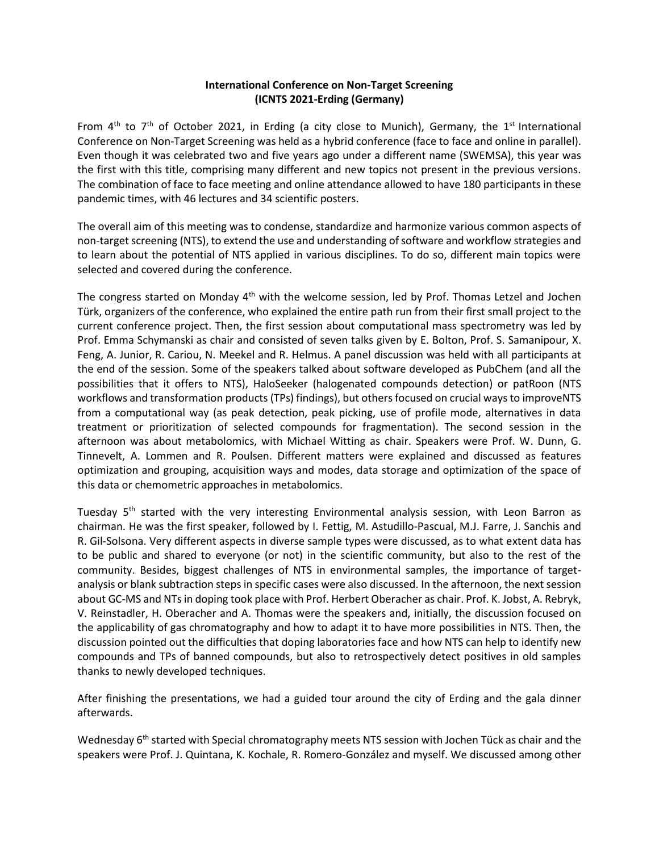## **International Conference on Non-Target Screening (ICNTS 2021-Erding (Germany)**

From  $4^{\text{th}}$  to  $7^{\text{th}}$  of October 2021, in Erding (a city close to Munich), Germany, the 1<sup>st</sup> International Conference on Non-Target Screening was held as a hybrid conference (face to face and online in parallel). Even though it was celebrated two and five years ago under a different name (SWEMSA), this year was the first with this title, comprising many different and new topics not present in the previous versions. The combination of face to face meeting and online attendance allowed to have 180 participants in these pandemic times, with 46 lectures and 34 scientific posters.

The overall aim of this meeting was to condense, standardize and harmonize various common aspects of non-target screening (NTS), to extend the use and understanding of software and workflow strategies and to learn about the potential of NTS applied in various disciplines. To do so, different main topics were selected and covered during the conference.

The congress started on Monday 4<sup>th</sup> with the welcome session, led by Prof. Thomas Letzel and Jochen Türk, organizers of the conference, who explained the entire path run from their first small project to the current conference project. Then, the first session about computational mass spectrometry was led by Prof. Emma Schymanski as chair and consisted of seven talks given by E. Bolton, Prof. S. Samanipour, X. Feng, A. Junior, R. Cariou, N. Meekel and R. Helmus. A panel discussion was held with all participants at the end of the session. Some of the speakers talked about software developed as PubChem (and all the possibilities that it offers to NTS), HaloSeeker (halogenated compounds detection) or patRoon (NTS workflows and transformation products (TPs) findings), but others focused on crucial ways to improveNTS from a computational way (as peak detection, peak picking, use of profile mode, alternatives in data treatment or prioritization of selected compounds for fragmentation). The second session in the afternoon was about metabolomics, with Michael Witting as chair. Speakers were Prof. W. Dunn, G. Tinnevelt, A. Lommen and R. Poulsen. Different matters were explained and discussed as features optimization and grouping, acquisition ways and modes, data storage and optimization of the space of this data or chemometric approaches in metabolomics.

Tuesday  $5<sup>th</sup>$  started with the very interesting Environmental analysis session, with Leon Barron as chairman. He was the first speaker, followed by I. Fettig, M. Astudillo-Pascual, M.J. Farre, J. Sanchis and R. Gil-Solsona. Very different aspects in diverse sample types were discussed, as to what extent data has to be public and shared to everyone (or not) in the scientific community, but also to the rest of the community. Besides, biggest challenges of NTS in environmental samples, the importance of targetanalysis or blank subtraction steps in specific cases were also discussed. In the afternoon, the next session about GC-MS and NTs in doping took place with Prof. Herbert Oberacher as chair. Prof. K. Jobst, A. Rebryk, V. Reinstadler, H. Oberacher and A. Thomas were the speakers and, initially, the discussion focused on the applicability of gas chromatography and how to adapt it to have more possibilities in NTS. Then, the discussion pointed out the difficulties that doping laboratories face and how NTS can help to identify new compounds and TPs of banned compounds, but also to retrospectively detect positives in old samples thanks to newly developed techniques.

After finishing the presentations, we had a guided tour around the city of Erding and the gala dinner afterwards.

Wednesday 6<sup>th</sup> started with Special chromatography meets NTS session with Jochen Tück as chair and the speakers were Prof. J. Quintana, K. Kochale, R. Romero-González and myself. We discussed among other